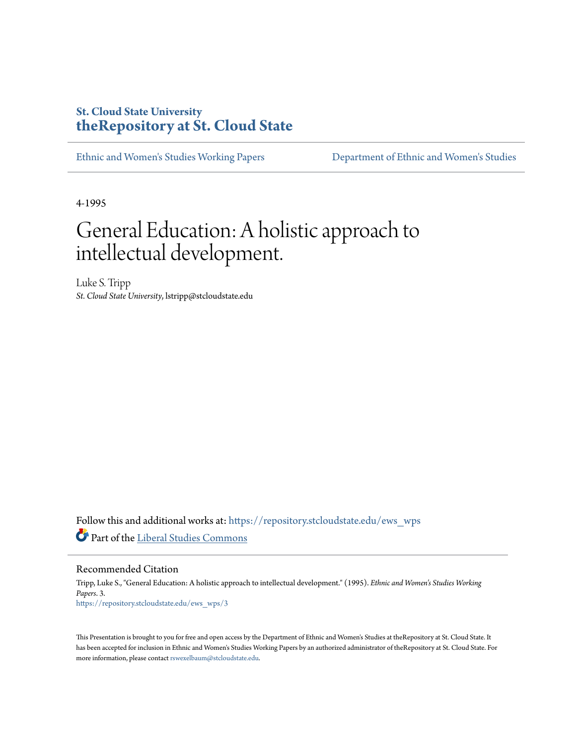# **St. Cloud State University [theRepository at St. Cloud State](https://repository.stcloudstate.edu?utm_source=repository.stcloudstate.edu%2Fews_wps%2F3&utm_medium=PDF&utm_campaign=PDFCoverPages)**

[Ethnic and Women's Studies Working Papers](https://repository.stcloudstate.edu/ews_wps?utm_source=repository.stcloudstate.edu%2Fews_wps%2F3&utm_medium=PDF&utm_campaign=PDFCoverPages) [Department of Ethnic and Women's Studies](https://repository.stcloudstate.edu/ews?utm_source=repository.stcloudstate.edu%2Fews_wps%2F3&utm_medium=PDF&utm_campaign=PDFCoverPages)

4-1995

# General Education: A holistic approach to intellectual development.

Luke S. Tripp *St. Cloud State University*, lstripp@stcloudstate.edu

Follow this and additional works at: [https://repository.stcloudstate.edu/ews\\_wps](https://repository.stcloudstate.edu/ews_wps?utm_source=repository.stcloudstate.edu%2Fews_wps%2F3&utm_medium=PDF&utm_campaign=PDFCoverPages) Part of the [Liberal Studies Commons](http://network.bepress.com/hgg/discipline/1042?utm_source=repository.stcloudstate.edu%2Fews_wps%2F3&utm_medium=PDF&utm_campaign=PDFCoverPages)

Recommended Citation

Tripp, Luke S., "General Education: A holistic approach to intellectual development." (1995). *Ethnic and Women's Studies Working Papers*. 3. [https://repository.stcloudstate.edu/ews\\_wps/3](https://repository.stcloudstate.edu/ews_wps/3?utm_source=repository.stcloudstate.edu%2Fews_wps%2F3&utm_medium=PDF&utm_campaign=PDFCoverPages)

This Presentation is brought to you for free and open access by the Department of Ethnic and Women's Studies at theRepository at St. Cloud State. It has been accepted for inclusion in Ethnic and Women's Studies Working Papers by an authorized administrator of theRepository at St. Cloud State. For more information, please contact [rswexelbaum@stcloudstate.edu](mailto:rswexelbaum@stcloudstate.edu).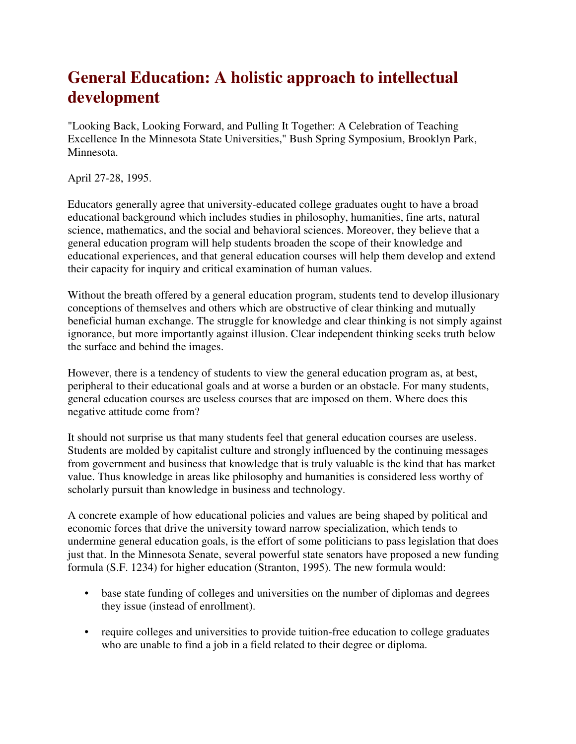# **General Education: A holistic approach to intellectual development**

"Looking Back, Looking Forward, and Pulling It Together: A Celebration of Teaching Excellence In the Minnesota State Universities," Bush Spring Symposium, Brooklyn Park, Minnesota.

April 27-28, 1995.

Educators generally agree that university-educated college graduates ought to have a broad educational background which includes studies in philosophy, humanities, fine arts, natural science, mathematics, and the social and behavioral sciences. Moreover, they believe that a general education program will help students broaden the scope of their knowledge and educational experiences, and that general education courses will help them develop and extend their capacity for inquiry and critical examination of human values.

Without the breath offered by a general education program, students tend to develop illusionary conceptions of themselves and others which are obstructive of clear thinking and mutually beneficial human exchange. The struggle for knowledge and clear thinking is not simply against ignorance, but more importantly against illusion. Clear independent thinking seeks truth below the surface and behind the images.

However, there is a tendency of students to view the general education program as, at best, peripheral to their educational goals and at worse a burden or an obstacle. For many students, general education courses are useless courses that are imposed on them. Where does this negative attitude come from?

It should not surprise us that many students feel that general education courses are useless. Students are molded by capitalist culture and strongly influenced by the continuing messages from government and business that knowledge that is truly valuable is the kind that has market value. Thus knowledge in areas like philosophy and humanities is considered less worthy of scholarly pursuit than knowledge in business and technology.

A concrete example of how educational policies and values are being shaped by political and economic forces that drive the university toward narrow specialization, which tends to undermine general education goals, is the effort of some politicians to pass legislation that does just that. In the Minnesota Senate, several powerful state senators have proposed a new funding formula (S.F. 1234) for higher education (Stranton, 1995). The new formula would:

- base state funding of colleges and universities on the number of diplomas and degrees they issue (instead of enrollment).
- require colleges and universities to provide tuition-free education to college graduates who are unable to find a job in a field related to their degree or diploma.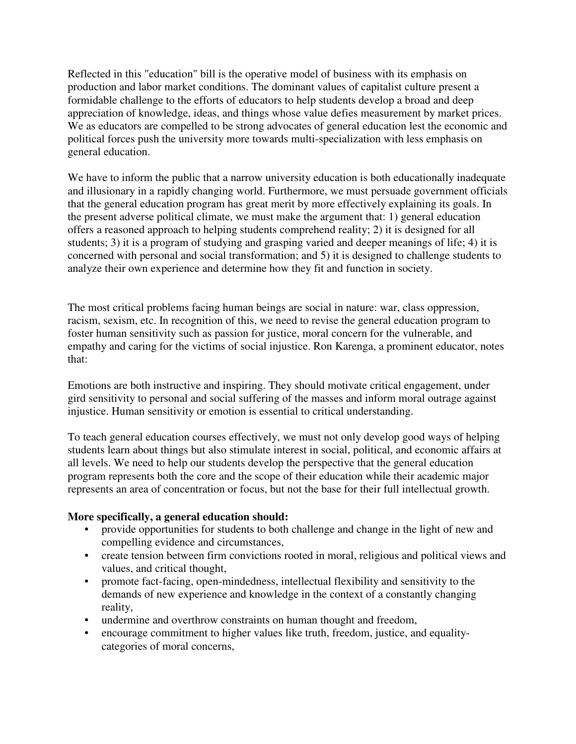Reflected in this "education" bill is the operative model of business with its emphasis on production and labor market conditions. The dominant values of capitalist culture present a formidable challenge to the efforts of educators to help students develop a broad and deep appreciation of knowledge, ideas, and things whose value defies measurement by market prices. We as educators are compelled to be strong advocates of general education lest the economic and political forces push the university more towards multi-specialization with less emphasis on general education.

We have to inform the public that a narrow university education is both educationally inadequate and illusionary in a rapidly changing world. Furthermore, we must persuade government officials that the general education program has great merit by more effectively explaining its goals. In the present adverse political climate, we must make the argument that: 1) general education offers a reasoned approach to helping students comprehend reality; 2) it is designed for all students; 3) it is a program of studying and grasping varied and deeper meanings of life; 4) it is concerned with personal and social transformation; and 5) it is designed to challenge students to analyze their own experience and determine how they fit and function in society.

The most critical problems facing human beings are social in nature: war, class oppression, racism, sexism, etc. In recognition of this, we need to revise the general education program to foster human sensitivity such as passion for justice, moral concern for the vulnerable, and empathy and caring for the victims of social injustice. Ron Karenga, a prominent educator, notes that:

Emotions are both instructive and inspiring. They should motivate critical engagement, under gird sensitivity to personal and social suffering of the masses and inform moral outrage against injustice. Human sensitivity or emotion is essential to critical understanding.

To teach general education courses effectively, we must not only develop good ways of helping students learn about things but also stimulate interest in social, political, and economic affairs at all levels. We need to help our students develop the perspective that the general education program represents both the core and the scope of their education while their academic major represents an area of concentration or focus, but not the base for their full intellectual growth.

#### **More specifically, a general education should:**

- provide opportunities for students to both challenge and change in the light of new and compelling evidence and circumstances,
- create tension between firm convictions rooted in moral, religious and political views and values, and critical thought,
- promote fact-facing, open-mindedness, intellectual flexibility and sensitivity to the demands of new experience and knowledge in the context of a constantly changing reality,
- undermine and overthrow constraints on human thought and freedom,
- encourage commitment to higher values like truth, freedom, justice, and equalitycategories of moral concerns,